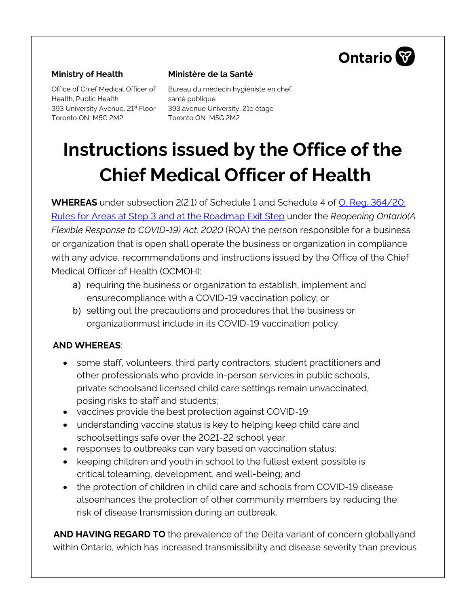

#### **Ministry of Health**

Office of Chief Medical Officer of Health, Public Health 393 University Avenue, 21st Floor Toronto ON M5G 2M2

#### **Ministère de la Santé**

Bureau du médecin hygiéniste en chef, santé publique 393 avenue University, 21e étage Toronto ON M5G 2M2

# **Instructions issued by the Office of the Chief Medical Officer of Health**

**WHEREAS** under subsection 2(2.1) of Schedule 1 and Schedule 4 of [O. Reg. 364/20:](https://www.ontario.ca/laws/regulation/200364) Rules for Areas [at Step 3 and at the Roadmap Exit Step](https://www.ontario.ca/laws/regulation/200364) under the *Reopening Ontario(A Flexible Response to COVID-19) Act, 2020* (ROA) the person responsible for a business or organization that is open shall operate the business or organization in compliance with any advice, recommendations and instructions issued by the Office of the Chief Medical Officer of Health (OCMOH):

- a) requiring the business or organization to establish, implement and ensurecompliance with a COVID-19 vaccination policy; or
- b) setting out the precautions and procedures that the business or organizationmust include in its COVID-19 vaccination policy.

## **AND WHEREAS**:

- some staff, volunteers, third party contractors, student practitioners and other professionals who provide in-person services in public schools, private schoolsand licensed child care settings remain unvaccinated, posing risks to staff and students;
- vaccines provide the best protection against COVID-19;
- understanding vaccine status is key to helping keep child care and schoolsettings safe over the 2021-22 school year;
- responses to outbreaks can vary based on vaccination status;
- keeping children and youth in school to the fullest extent possible is critical tolearning, development, and well-being; and
- the protection of children in child care and schools from COVID-19 disease alsoenhances the protection of other community members by reducing the risk of disease transmission during an outbreak.

**AND HAVING REGARD TO** the prevalence of the Delta variant of concern globallyand within Ontario, which has increased transmissibility and disease severity than previous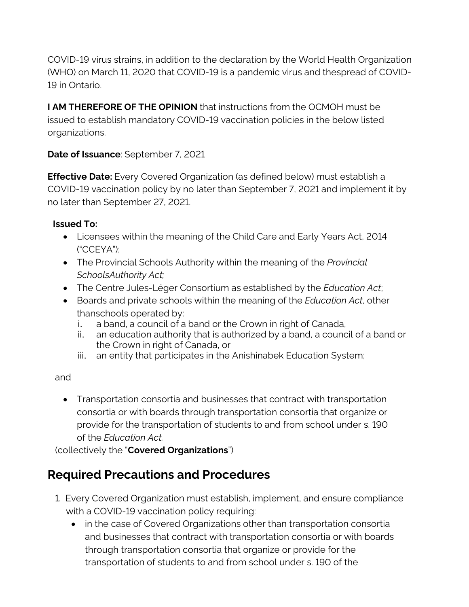COVID-19 virus strains, in addition to the declaration by the World Health Organization (WHO) on March 11, 2020 that COVID-19 is a pandemic virus and thespread of COVID-19 in Ontario.

**I AM THEREFORE OF THE OPINION** that instructions from the OCMOH must be issued to establish mandatory COVID-19 vaccination policies in the below listed organizations.

## **Date of Issuance**: September 7, 2021

**Effective Date:** Every Covered Organization (as defined below) must establish a COVID-19 vaccination policy by no later than September 7, 2021 and implement it by no later than September 27, 2021.

### **Issued To:**

- Licensees within the meaning of the Child Care and Early Years Act, 2014 ("CCEYA");
- The Provincial Schools Authority within the meaning of the *Provincial SchoolsAuthority Act;*
- The Centre Jules-Léger Consortium as established by the *Education Act*;
- Boards and private schools within the meaning of the *Education Act*, other thanschools operated by:
	- i. a band, a council of a band or the Crown in right of Canada,
	- ii. an education authority that is authorized by a band, a council of a band or the Crown in right of Canada, or
	- iii. an entity that participates in the Anishinabek Education System;

#### and

• Transportation consortia and businesses that contract with transportation consortia or with boards through transportation consortia that organize or provide for the transportation of students to and from school under s. 190 of the *Education Act.*

(collectively the "**Covered Organizations**")

# **Required Precautions and Procedures**

- 1. Every Covered Organization must establish, implement, and ensure compliance with a COVID-19 vaccination policy requiring:
	- in the case of Covered Organizations other than transportation consortia and businesses that contract with transportation consortia or with boards through transportation consortia that organize or provide for the transportation of students to and from school under s. 190 of the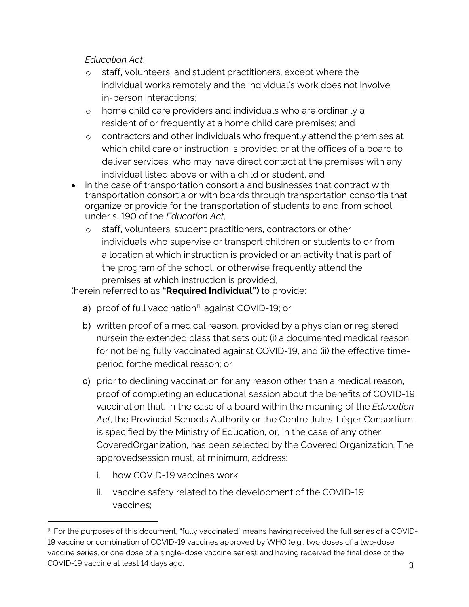*Education Act*,

- o staff, volunteers, and student practitioners, except where the individual works remotely and the individual's work does not involve in-person interactions;
- o home child care providers and individuals who are ordinarily a resident of or frequently at a home child care premises; and
- o contractors and other individuals who frequently attend the premises at which child care or instruction is provided or at the offices of a board to deliver services, who may have direct contact at the premises with any individual listed above or with a child or student, and
- in the case of transportation consortia and businesses that contract with transportation consortia or with boards through transportation consortia that organize or provide for the transportation of students to and from school under s. 190 of the *Education Act*,
	- o staff, volunteers, student practitioners, contractors or other individuals who supervise or transport children or students to or from a location at which instruction is provided or an activity that is part of the program of the school, or otherwise frequently attend the premises at which instruction is provided,

(herein referred to as **"Required Individual")** to provide:

- a) proof of full vaccination<sup>[\[1\]](#page-2-0)</sup> against COVID-19; or
- b) written proof of a medical reason, provided by a physician or registered nursein the extended class that sets out: (i) a documented medical reason for not being fully vaccinated against COVID-19, and (ii) the effective timeperiod forthe medical reason; or
- c) prior to declining vaccination for any reason other than a medical reason, proof of completing an educational session about the benefits of COVID-19 vaccination that, in the case of a board within the meaning of the *Education Act*, the Provincial Schools Authority or the Centre Jules-Léger Consortium, is specified by the Ministry of Education, or, in the case of any other CoveredOrganization, has been selected by the Covered Organization. The approvedsession must, at minimum, address:
	- i. how COVID-19 vaccines work;
	- ii. vaccine safety related to the development of the COVID-19 vaccines;

<span id="page-2-0"></span><sup>3</sup> <sup>[1]</sup> For the purposes of this document, "fully vaccinated" means having received the full series of a COVID-19 vaccine or combination of COVID-19 vaccines approved by WHO (e.g., two doses of a two-dose vaccine series, or one dose of a single-dose vaccine series); and having received the final dose of the COVID-19 vaccine at least 14 days ago.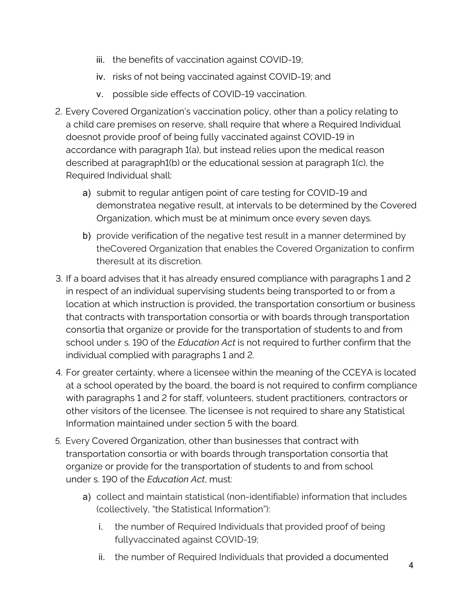- iii. the benefits of vaccination against COVID-19;
- iv. risks of not being vaccinated against COVID-19; and
- v. possible side effects of COVID-19 vaccination.
- 2. Every Covered Organization's vaccination policy, other than a policy relating to a child care premises on reserve, shall require that where a Required Individual doesnot provide proof of being fully vaccinated against COVID-19 in accordance with paragraph 1(a), but instead relies upon the medical reason described at paragraph1(b) or the educational session at paragraph 1(c), the Required Individual shall:
	- a) submit to regular antigen point of care testing for COVID-19 and demonstratea negative result, at intervals to be determined by the Covered Organization, which must be at minimum once every seven days.
	- b) provide verification of the negative test result in a manner determined by theCovered Organization that enables the Covered Organization to confirm theresult at its discretion.
- 3. If a board advises that it has already ensured compliance with paragraphs 1 and 2 in respect of an individual supervising students being transported to or from a location at which instruction is provided, the transportation consortium or business that contracts with transportation consortia or with boards through transportation consortia that organize or provide for the transportation of students to and from school under s. 190 of the *Education Act* is not required to further confirm that the individual complied with paragraphs 1 and 2.
- 4. For greater certainty, where a licensee within the meaning of the CCEYA is located at a school operated by the board, the board is not required to confirm compliance with paragraphs 1 and 2 for staff, volunteers, student practitioners, contractors or other visitors of the licensee. The licensee is not required to share any Statistical Information maintained under section 5 with the board.
- 5. Every Covered Organization, other than businesses that contract with transportation consortia or with boards through transportation consortia that organize or provide for the transportation of students to and from school under s. 190 of the *Education Act*, must:
	- a) collect and maintain statistical (non-identifiable) information that includes (collectively, "the Statistical Information"):
		- i. the number of Required Individuals that provided proof of being fullyvaccinated against COVID-19;
		- ii. the number of Required Individuals that provided a documented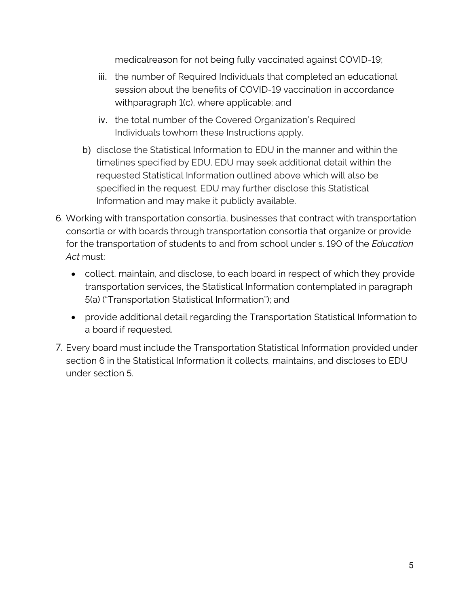medicalreason for not being fully vaccinated against COVID-19;

- iii. the number of Required Individuals that completed an educational session about the benefits of COVID-19 vaccination in accordance withparagraph 1(c), where applicable; and
- iv. the total number of the Covered Organization's Required Individuals towhom these Instructions apply.
- b) disclose the Statistical Information to EDU in the manner and within the timelines specified by EDU. EDU may seek additional detail within the requested Statistical Information outlined above which will also be specified in the request. EDU may further disclose this Statistical Information and may make it publicly available.
- 6. Working with transportation consortia, businesses that contract with transportation consortia or with boards through transportation consortia that organize or provide for the transportation of students to and from school under s. 190 of the *Education Act* must:
	- collect, maintain, and disclose, to each board in respect of which they provide transportation services, the Statistical Information contemplated in paragraph 5(a) ("Transportation Statistical Information"); and
	- provide additional detail regarding the Transportation Statistical Information to a board if requested.
- 7. Every board must include the Transportation Statistical Information provided under section 6 in the Statistical Information it collects, maintains, and discloses to EDU under section 5.